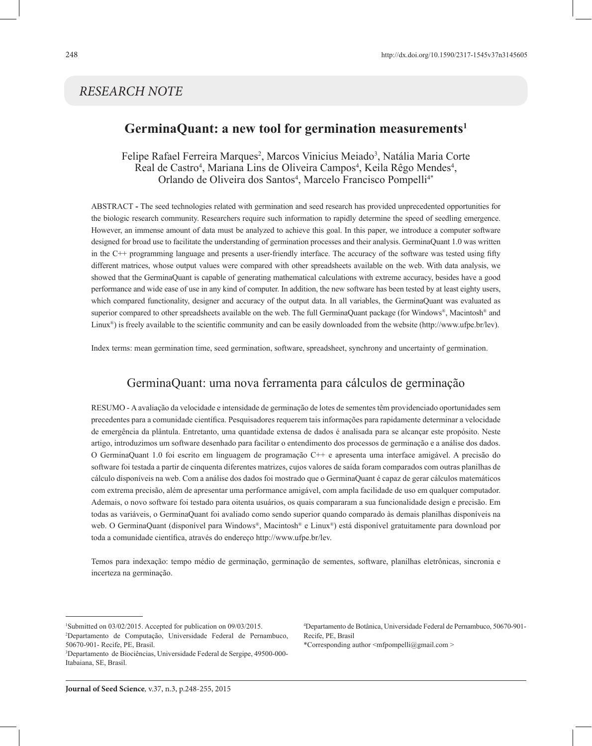# *RESEARCH NOTE*

# **GerminaQuant: a new tool for germination measurements1**

Felipe Rafael Ferreira Marques<sup>2</sup>, Marcos Vinicius Meiado<sup>3</sup>, Natália Maria Corte Real de Castro<sup>4</sup>, Mariana Lins de Oliveira Campos<sup>4</sup>, Keila Rêgo Mendes<sup>4</sup>, Orlando de Oliveira dos Santos<sup>4</sup>, Marcelo Francisco Pompelli<sup>4\*</sup>

ABSTRACT **-** The seed technologies related with germination and seed research has provided unprecedented opportunities for the biologic research community. Researchers require such information to rapidly determine the speed of seedling emergence. However, an immense amount of data must be analyzed to achieve this goal. In this paper, we introduce a computer software designed for broad use to facilitate the understanding of germination processes and their analysis. GerminaQuant 1.0 was written in the C++ programming language and presents a user-friendly interface. The accuracy of the software was tested using fifty different matrices, whose output values were compared with other spreadsheets available on the web. With data analysis, we showed that the GerminaQuant is capable of generating mathematical calculations with extreme accuracy, besides have a good performance and wide ease of use in any kind of computer. In addition, the new software has been tested by at least eighty users, which compared functionality, designer and accuracy of the output data. In all variables, the GerminaQuant was evaluated as superior compared to other spreadsheets available on the web. The full GerminaQuant package (for Windows®, Macintosh® and Linux<sup>®</sup>) is freely available to the scientific community and can be easily downloaded from the website (http://www.ufpe.br/lev).

Index terms: mean germination time, seed germination, software, spreadsheet, synchrony and uncertainty of germination.

# GerminaQuant: uma nova ferramenta para cálculos de germinação

RESUMO - A avaliação da velocidade e intensidade de germinação de lotes de sementes têm providenciado oportunidades sem precedentes para a comunidade científica. Pesquisadores requerem tais informações para rapidamente determinar a velocidade de emergência da plântula. Entretanto, uma quantidade extensa de dados é analisada para se alcançar este propósito. Neste artigo, introduzimos um software desenhado para facilitar o entendimento dos processos de germinação e a análise dos dados. O GerminaQuant 1.0 foi escrito em linguagem de programação C++ e apresenta uma interface amigável. A precisão do software foi testada a partir de cinquenta diferentes matrizes, cujos valores de saída foram comparados com outras planilhas de cálculo disponíveis na web. Com a análise dos dados foi mostrado que o GerminaQuant é capaz de gerar cálculos matemáticos com extrema precisão, além de apresentar uma performance amigável, com ampla facilidade de uso em qualquer computador. Ademais, o novo software foi testado para oitenta usuários, os quais compararam a sua funcionalidade design e precisão. Em todas as variáveis, o GerminaQuant foi avaliado como sendo superior quando comparado às demais planilhas disponíveis na web. O GerminaQuant (disponível para Windows®, Macintosh® e Linux®) está disponível gratuitamente para download por toda a comunidade científica, através do endereço http://www.ufpe.br/lev.

Temos para indexação: tempo médio de germinação, germinação de sementes, software, planilhas eletrônicas, sincronia e incerteza na germinação.

4 Departamento de Botânica, Universidade Federal de Pernambuco, 50670-901- Recife, PE, Brasil

\*Corresponding author <mfpompelli@gmail.com >

<sup>1</sup> Submitted on 03/02/2015. Accepted for publication on 09/03/2015. 2 Departamento de Computação, Universidade Federal de Pernambuco, 50670-901- Recife, PE, Brasil.

<sup>3</sup> Departamento de Biociências, Universidade Federal de Sergipe, 49500-000- Itabaiana, SE, Brasil.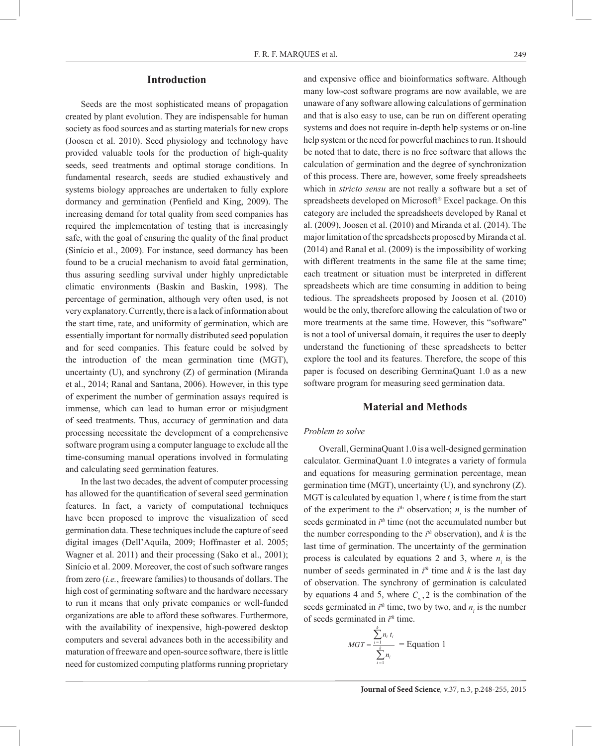### **Introduction**

Seeds are the most sophisticated means of propagation created by plant evolution. They are indispensable for human society as food sources and as starting materials for new crops (Joosen et al. 2010). Seed physiology and technology have provided valuable tools for the production of high-quality seeds, seed treatments and optimal storage conditions. In fundamental research, seeds are studied exhaustively and systems biology approaches are undertaken to fully explore dormancy and germination (Penfield and King, 2009). The increasing demand for total quality from seed companies has required the implementation of testing that is increasingly safe, with the goal of ensuring the quality of the final product (Sinício et al., 2009). For instance, seed dormancy has been found to be a crucial mechanism to avoid fatal germination, thus assuring seedling survival under highly unpredictable climatic environments (Baskin and Baskin, 1998). The percentage of germination, although very often used, is not very explanatory. Currently, there is a lack of information about the start time, rate, and uniformity of germination, which are essentially important for normally distributed seed population and for seed companies. This feature could be solved by the introduction of the mean germination time (MGT), uncertainty (U), and synchrony (Z) of germination (Miranda et al., 2014; Ranal and Santana, 2006). However, in this type of experiment the number of germination assays required is immense, which can lead to human error or misjudgment of seed treatments. Thus, accuracy of germination and data processing necessitate the development of a comprehensive software program using a computer language to exclude all the time-consuming manual operations involved in formulating and calculating seed germination features.

In the last two decades, the advent of computer processing has allowed for the quantification of several seed germination features. In fact, a variety of computational techniques have been proposed to improve the visualization of seed germination data. These techniques include the capture of seed digital images (Dell'Aquila, 2009; Hoffmaster et al. 2005; Wagner et al. 2011) and their processing (Sako et al., 2001); Sinício et al. 2009. Moreover, the cost of such software ranges from zero (*i.e.*, freeware families) to thousands of dollars. The high cost of germinating software and the hardware necessary to run it means that only private companies or well-funded organizations are able to afford these softwares. Furthermore, with the availability of inexpensive, high-powered desktop computers and several advances both in the accessibility and maturation of freeware and open-source software, there is little need for customized computing platforms running proprietary

and expensive office and bioinformatics software. Although many low-cost software programs are now available, we are unaware of any software allowing calculations of germination and that is also easy to use, can be run on different operating systems and does not require in-depth help systems or on-line help system or the need for powerful machines to run. It should be noted that to date, there is no free software that allows the calculation of germination and the degree of synchronization of this process. There are, however, some freely spreadsheets which in *stricto sensu* are not really a software but a set of spreadsheets developed on Microsoft® Excel package. On this category are included the spreadsheets developed by Ranal et al. (2009), Joosen et al. (2010) and Miranda et al. (2014). The major limitation of the spreadsheets proposed by Miranda et al. (2014) and Ranal et al. (2009) is the impossibility of working with different treatments in the same file at the same time; each treatment or situation must be interpreted in different spreadsheets which are time consuming in addition to being tedious. The spreadsheets proposed by Joosen et al*.* (2010) would be the only, therefore allowing the calculation of two or more treatments at the same time. However, this "software" is not a tool of universal domain, it requires the user to deeply understand the functioning of these spreadsheets to better explore the tool and its features. Therefore, the scope of this paper is focused on describing GerminaQuant 1.0 as a new software program for measuring seed germination data.

## **Material and Methods**

#### *Problem to solve*

Overall, GerminaQuant 1.0 is a well-designed germination calculator. GerminaQuant 1.0 integrates a variety of formula and equations for measuring germination percentage, mean germination time (MGT), uncertainty (U), and synchrony (Z). MGT is calculated by equation 1, where  $t_i$  is time from the start of the experiment to the  $i<sup>th</sup>$  observation;  $n<sub>i</sub>$  is the number of seeds germinated in  $i<sup>th</sup>$  time (not the accumulated number but the number corresponding to the  $i<sup>th</sup>$  observation), and  $k$  is the last time of germination. The uncertainty of the germination process is calculated by equations 2 and 3, where  $n_i$  is the number of seeds germinated in  $i<sup>th</sup>$  time and  $k$  is the last day of observation. The synchrony of germination is calculated by equations 4 and 5, where  $C_n$ , 2 is the combination of the seeds germinated in  $i<sup>th</sup>$  time, two by two, and  $n<sub>i</sub>$  is the number of seeds germinated in *i th* time.

$$
MGT = \frac{\sum_{i=1}^{k} n_i t_i}{\sum_{i=1}^{k} n_i} = \text{Equation 1}
$$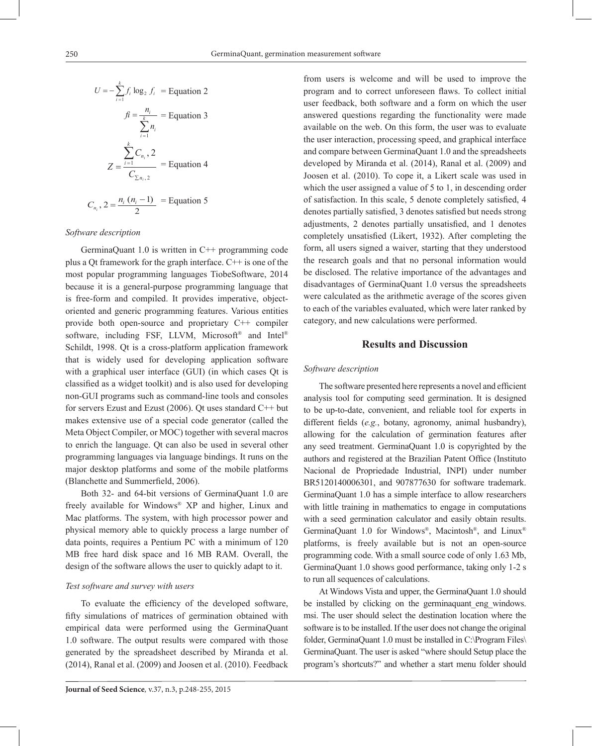$$
U = -\sum_{i=1}^{k} f_i \log_2 f_i = \text{Equation 2}
$$
\n
$$
f = \frac{n_i}{\sum_{i=1}^{k} n_i} = \text{Equation 3}
$$
\n
$$
Z = \frac{\sum_{i=1}^{k} C_{n_i}, 2}{C_{\sum n_i, 2}} = \text{Equation 4}
$$
\n
$$
C_{n_i}, 2 = \frac{n_i (n_i - 1)}{2} = \text{Equation 5}
$$

#### *Software description*

GerminaQuant 1.0 is written in C++ programming code plus a Qt framework for the graph interface. C++ is one of the most popular programming languages TiobeSoftware, 2014 because it is a general-purpose programming language that is free-form and compiled. It provides imperative, objectoriented and generic programming features. Various entities provide both open-source and proprietary C++ compiler software, including FSF, LLVM, Microsoft<sup>®</sup> and Intel<sup>®</sup> Schildt, 1998. Qt is a cross-platform application framework that is widely used for developing application software with a graphical user interface (GUI) (in which cases Qt is classified as a widget toolkit) and is also used for developing non-GUI programs such as command-line tools and consoles for servers Ezust and Ezust (2006). Qt uses standard C++ but makes extensive use of a special code generator (called the Meta Object Compiler, or MOC) together with several macros to enrich the language. Qt can also be used in several other programming languages via language bindings. It runs on the major desktop platforms and some of the mobile platforms (Blanchette and Summerfield, 2006).

Both 32- and 64-bit versions of GerminaQuant 1.0 are freely available for Windows® XP and higher, Linux and Mac platforms. The system, with high processor power and physical memory able to quickly process a large number of data points, requires a Pentium PC with a minimum of 120 MB free hard disk space and 16 MB RAM. Overall, the design of the software allows the user to quickly adapt to it.

#### *Test software and survey with users*

To evaluate the efficiency of the developed software, fifty simulations of matrices of germination obtained with empirical data were performed using the GerminaQuant 1.0 software. The output results were compared with those generated by the spreadsheet described by Miranda et al. (2014), Ranal et al. (2009) and Joosen et al. (2010). Feedback from users is welcome and will be used to improve the program and to correct unforeseen flaws. To collect initial user feedback, both software and a form on which the user answered questions regarding the functionality were made available on the web. On this form, the user was to evaluate the user interaction, processing speed, and graphical interface and compare between GerminaQuant 1.0 and the spreadsheets developed by Miranda et al. (2014), Ranal et al. (2009) and Joosen et al. (2010). To cope it, a Likert scale was used in which the user assigned a value of 5 to 1, in descending order of satisfaction. In this scale, 5 denote completely satisfied, 4 denotes partially satisfied, 3 denotes satisfied but needs strong adjustments, 2 denotes partially unsatisfied, and 1 denotes completely unsatisfied (Likert, 1932). After completing the form, all users signed a waiver, starting that they understood the research goals and that no personal information would be disclosed. The relative importance of the advantages and disadvantages of GerminaQuant 1.0 versus the spreadsheets were calculated as the arithmetic average of the scores given to each of the variables evaluated, which were later ranked by category, and new calculations were performed.

### **Results and Discussion**

#### *Software description*

The software presented here represents a novel and efficient analysis tool for computing seed germination. It is designed to be up-to-date, convenient, and reliable tool for experts in different fields (*e.g.*, botany, agronomy, animal husbandry), allowing for the calculation of germination features after any seed treatment. GerminaQuant 1.0 is copyrighted by the authors and registered at the Brazilian Patent Office (Instituto Nacional de Propriedade Industrial, INPI) under number BR5120140006301, and 907877630 for software trademark. GerminaQuant 1.0 has a simple interface to allow researchers with little training in mathematics to engage in computations with a seed germination calculator and easily obtain results. GerminaQuant 1.0 for Windows®, Macintosh®, and Linux® platforms, is freely available but is not an open-source programming code. With a small source code of only 1.63 Mb, GerminaQuant 1.0 shows good performance, taking only 1-2 s to run all sequences of calculations.

At Windows Vista and upper, the GerminaQuant 1.0 should be installed by clicking on the germinaquant eng windows. msi. The user should select the destination location where the software is to be installed. If the user does not change the original folder, GerminaQuant 1.0 must be installed in C:\Program Files\ GerminaQuant. The user is asked "where should Setup place the program's shortcuts?" and whether a start menu folder should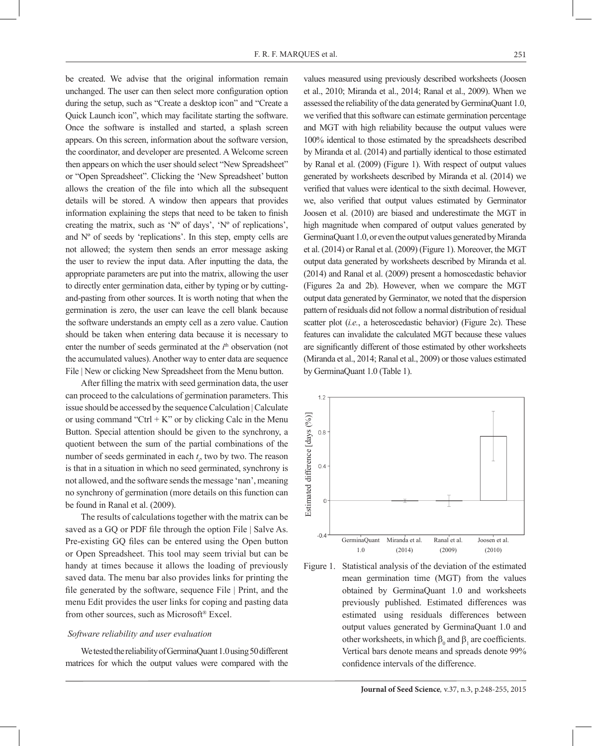be created. We advise that the original information remain unchanged. The user can then select more configuration option during the setup, such as "Create a desktop icon" and "Create a Quick Launch icon", which may facilitate starting the software. Once the software is installed and started, a splash screen appears. On this screen, information about the software version, the coordinator, and developer are presented. A Welcome screen then appears on which the user should select "New Spreadsheet" or "Open Spreadsheet". Clicking the 'New Spreadsheet' button allows the creation of the file into which all the subsequent details will be stored. A window then appears that provides information explaining the steps that need to be taken to finish creating the matrix, such as 'Nº of days', 'Nº of replications', and  $N<sup>o</sup>$  of seeds by 'replications'. In this step, empty cells are not allowed; the system then sends an error message asking the user to review the input data. After inputting the data, the appropriate parameters are put into the matrix, allowing the user to directly enter germination data, either by typing or by cuttingand-pasting from other sources. It is worth noting that when the germination is zero, the user can leave the cell blank because the software understands an empty cell as a zero value. Caution should be taken when entering data because it is necessary to enter the number of seeds germinated at the *i*<sup>th</sup> observation (not the accumulated values). Another way to enter data are sequence File | New or clicking New Spreadsheet from the Menu button.

After filling the matrix with seed germination data, the user can proceed to the calculations of germination parameters. This issue should be accessed by the sequence Calculation | Calculate or using command "Ctrl  $+ K$ " or by clicking Calc in the Menu Button. Special attention should be given to the synchrony, a quotient between the sum of the partial combinations of the number of seeds germinated in each  $t_i$ , two by two. The reason is that in a situation in which no seed germinated, synchrony is not allowed, and the software sends the message 'nan', meaning no synchrony of germination (more details on this function can be found in Ranal et al. (2009).

The results of calculations together with the matrix can be saved as a GQ or PDF file through the option File | Salve As. Pre-existing GQ files can be entered using the Open button or Open Spreadsheet. This tool may seem trivial but can be handy at times because it allows the loading of previously saved data. The menu bar also provides links for printing the file generated by the software, sequence File | Print, and the menu Edit provides the user links for coping and pasting data from other sources, such as Microsoft® Excel.

#### *Software reliability and user evaluation*

We tested the reliability of GerminaQuant 1.0 using 50 different matrices for which the output values were compared with the values measured using previously described worksheets (Joosen et al., 2010; Miranda et al., 2014; Ranal et al., 2009). When we assessed the reliability of the data generated by GerminaQuant 1.0, we verified that this software can estimate germination percentage and MGT with high reliability because the output values were 100% identical to those estimated by the spreadsheets described by Miranda et al. (2014) and partially identical to those estimated by Ranal et al. (2009) (Figure 1). With respect of output values generated by worksheets described by Miranda et al. (2014) we verified that values were identical to the sixth decimal. However, we, also verified that output values estimated by Germinator Joosen et al. (2010) are biased and underestimate the MGT in high magnitude when compared of output values generated by GerminaQuant 1.0, or even the output values generated by Miranda et al. (2014) or Ranal et al. (2009) (Figure 1). Moreover, the MGT output data generated by worksheets described by Miranda et al. (2014) and Ranal et al. (2009) present a homoscedastic behavior (Figures 2a and 2b). However, when we compare the MGT output data generated by Germinator, we noted that the dispersion pattern of residuals did not follow a normal distribution of residual scatter plot (*i.e.*, a heteroscedastic behavior) (Figure 2c). These features can invalidate the calculated MGT because these values are significantly different of those estimated by other worksheets (Miranda et al., 2014; Ranal et al., 2009) or those values estimated by GerminaQuant 1.0 (Table 1).



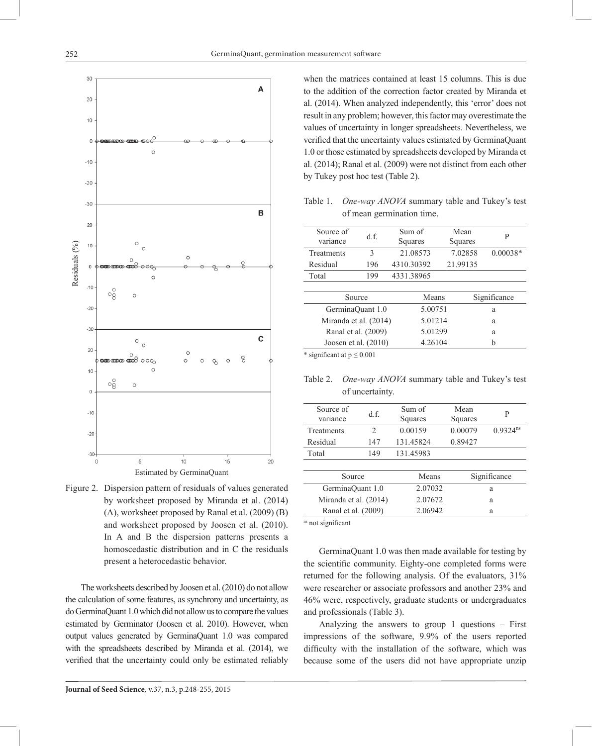

Figure 2. Dispersion pattern of residuals of values generated by worksheet proposed by Miranda et al. (2014) (A), worksheet proposed by Ranal et al. (2009) (B) and worksheet proposed by Joosen et al. (2010). In A and B the dispersion patterns presents a homoscedastic distribution and in C the residuals present a heterocedastic behavior.

The worksheets described by Joosen et al. (2010) do not allow the calculation of some features, as synchrony and uncertainty, as do GerminaQuant 1.0 which did not allow us to compare the values estimated by Germinator (Joosen et al. 2010). However, when output values generated by GerminaQuant 1.0 was compared with the spreadsheets described by Miranda et al. (2014), we verified that the uncertainty could only be estimated reliably

when the matrices contained at least 15 columns. This is due to the addition of the correction factor created by Miranda et al. (2014). When analyzed independently, this 'error' does not result in any problem; however, this factor may overestimate the values of uncertainty in longer spreadsheets. Nevertheless, we verified that the uncertainty values estimated by GerminaQuant 1.0 or those estimated by spreadsheets developed by Miranda et al. (2014); Ranal et al. (2009) were not distinct from each other by Tukey post hoc test (Table 2).

Table 1. *One-way ANOVA* summary table and Tukey's test of mean germination time.

| Source of<br>variance  | df  | Sum of<br>Squares | Mean<br>Squares | P            |  |
|------------------------|-----|-------------------|-----------------|--------------|--|
| Treatments             | 3   | 21.08573          | 7.02858         | $0.00038*$   |  |
| Residual               | 196 | 4310.30392        | 21.99135        |              |  |
| Total                  | 199 | 4331.38965        |                 |              |  |
|                        |     |                   |                 |              |  |
| Source                 |     | Means             |                 | Significance |  |
| GerminaQuant 1.0       |     | 5.00751           |                 | a            |  |
| Miranda et al. (2014)  |     | 5.01214           |                 | a            |  |
| Ranal et al. (2009)    |     | 5.01299           |                 | a            |  |
| Joosen et al. $(2010)$ |     | 4.26104           |                 | h            |  |
|                        |     |                   |                 |              |  |

significant at  $p \le 0.001$ 

Table 2. *One-way ANOVA* summary table and Tukey's test of uncertainty.

| Source of<br>variance | df             | Sum of<br>Squares | Mean<br>Squares | P                      |
|-----------------------|----------------|-------------------|-----------------|------------------------|
| Treatments            | $\mathfrak{D}$ | 0.00159           | 0.00079         | $0.9324$ <sup>ns</sup> |
| Residual              | 147            | 131.45824         | 0.89427         |                        |
| Total                 | 149            | 131.45983         |                 |                        |
|                       |                |                   |                 |                        |
| Source                |                | Means             | Significance    |                        |
| GerminaQuant 1.0      |                | 2.07032           | a               |                        |
| Miranda et al. (2014) |                | 2.07672           | a               |                        |
| Ranal et al. (2009)   |                | 2.06942           |                 | a                      |
|                       |                |                   |                 |                        |

ns not significant

GerminaQuant 1.0 was then made available for testing by the scientific community. Eighty-one completed forms were returned for the following analysis. Of the evaluators, 31% were researcher or associate professors and another 23% and 46% were, respectively, graduate students or undergraduates and professionals (Table 3).

Analyzing the answers to group 1 questions – First impressions of the software, 9.9% of the users reported difficulty with the installation of the software, which was because some of the users did not have appropriate unzip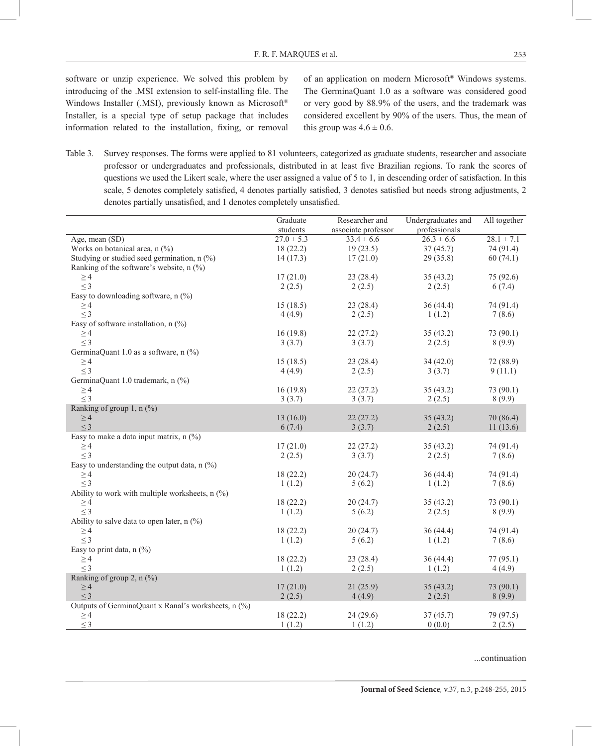software or unzip experience. We solved this problem by introducing of the .MSI extension to self-installing file. The Windows Installer (.MSI), previously known as Microsoft® Installer, is a special type of setup package that includes information related to the installation, fixing, or removal

(%)

of an application on modern Microsoft® Windows systems. The GerminaQuant 1.0 as a software was considered good or very good by 88.9% of the users, and the trademark was considered excellent by 90% of the users. Thus, the mean of this group was  $4.6 \pm 0.6$ .

Table 3. Survey responses. The forms were applied to 81 volunteers, categorized as graduate students, researcher and associate professor or undergraduates and professionals, distributed in at least five Brazilian regions. To rank the scores of questions we used the Likert scale, where the user assigned a value of 5 to 1, in descending order of satisfaction. In this scale, 5 denotes completely satisfied, 4 denotes partially satisfied, 3 denotes satisfied but needs strong adjustments, 2 denotes partially unsatisfied, and 1 denotes completely unsatisfied.

|                                                     | Graduate       | Researcher and      | Undergraduates and | All together   |
|-----------------------------------------------------|----------------|---------------------|--------------------|----------------|
|                                                     | students       | associate professor | professionals      |                |
| Age, mean $(SD)$                                    | $27.0 \pm 5.3$ | $33.4 \pm 6.6$      | $26.3 \pm 6.6$     | $28.1 \pm 7.1$ |
| Works on botanical area, n (%)                      | 18(22.2)       | 19(23.5)            | 37(45.7)           | 74 (91.4)      |
| Studying or studied seed germination, $n$ (%)       | 14(17.3)       | 17(21.0)            | 29(35.8)           | 60(74.1)       |
| Ranking of the software's website, $n$ (%)          |                |                     |                    |                |
| $\geq$ 4                                            | 17(21.0)       | 23(28.4)            | 35(43.2)           | 75 (92.6)      |
| $\leq$ 3                                            | 2(2.5)         | 2(2.5)              | 2(2.5)             | 6(7.4)         |
| Easy to downloading software, $n$ (%)               |                |                     |                    |                |
| $\geq$ 4                                            | 15(18.5)       | 23(28.4)            | 36(44.4)           | 74 (91.4)      |
| $\leq$ 3                                            | 4(4.9)         | 2(2.5)              | 1(1.2)             | 7(8.6)         |
| Easy of software installation, $n$ (%)              |                |                     |                    |                |
| $\geq 4$                                            | 16(19.8)       | 22(27.2)            | 35(43.2)           | 73 (90.1)      |
| $\leq$ 3                                            | 3(3.7)         | 3(3.7)              | 2(2.5)             | 8(9.9)         |
| GerminaQuant 1.0 as a software, n (%)               |                |                     |                    |                |
| $\geq 4$                                            | 15(18.5)       | 23(28.4)            | 34(42.0)           | 72 (88.9)      |
| $\leq$ 3                                            | 4(4.9)         | 2(2.5)              | 3(3.7)             | 9(11.1)        |
| GerminaQuant 1.0 trademark, n (%)                   |                |                     |                    |                |
| $\geq 4$                                            | 16(19.8)       | 22(27.2)            | 35(43.2)           | 73 (90.1)      |
| $<$ 3                                               | 3(3.7)         | 3(3.7)              | 2(2.5)             | 8(9.9)         |
| Ranking of group 1, $n$ (%)                         |                |                     |                    |                |
| $\geq 4$                                            | 13(16.0)       | 22(27.2)            | 35(43.2)           | 70 (86.4)      |
| $\leq$ 3                                            | 6(7.4)         | 3(3.7)              | 2(2.5)             | 11(13.6)       |
| Easy to make a data input matrix, $n$ (%)           |                |                     |                    |                |
| $\geq$ 4                                            | 17(21.0)       | 22(27.2)            | 35(43.2)           | 74 (91.4)      |
| $\leq$ 3                                            | 2(2.5)         | 3(3.7)              | 2(2.5)             | 7(8.6)         |
| Easy to understanding the output data, $n$ (%)      |                |                     |                    |                |
| $\geq 4$                                            | 18(22.2)       | 20(24.7)            | 36(44.4)           | 74 (91.4)      |
| $\leq$ 3                                            | 1(1.2)         | 5(6.2)              | 1(1.2)             | 7(8.6)         |
| Ability to work with multiple worksheets, $n$ (%)   |                |                     |                    |                |
| $\geq$ 4                                            | 18(22.2)       | 20(24.7)            | 35(43.2)           | 73 (90.1)      |
| $\leq$ 3                                            | 1(1.2)         | 5(6.2)              | 2(2.5)             | 8(9.9)         |
| Ability to salve data to open later, $n$ (%)        |                |                     |                    |                |
| $\geq$ 4                                            | 18(22.2)       | 20(24.7)            | 36(44.4)           | 74 (91.4)      |
| $\leq$ 3                                            | 1(1.2)         | 5(6.2)              | 1(1.2)             | 7(8.6)         |
| Easy to print data, $n$ (%)                         |                |                     |                    |                |
| $\geq 4$                                            | 18(22.2)       | 23(28.4)            | 36(44.4)           | 77(95.1)       |
| $\leq$ 3                                            | 1(1.2)         | 2(2.5)              | 1(1.2)             | 4(4.9)         |
| Ranking of group 2, n (%)                           |                |                     |                    |                |
| $\geq 4$                                            | 17(21.0)       | 21(25.9)            | 35(43.2)           | 73(90.1)       |
| $\leq$ 3                                            | 2(2.5)         | 4(4.9)              | 2(2.5)             | 8(9.9)         |
| Outputs of GerminaQuant x Ranal's worksheets, n (%) |                |                     |                    |                |
| $\geq 4$                                            | 18(22.2)       | 24(29.6)            | 37(45.7)           | 79 (97.5)      |
| $\leq$ 3                                            | 1(1.2)         | 1(1.2)              | 0(0.0)             | 2(2.5)         |

 $\sim$  4  $\sim$  4  $\sim$  4  $\sim$  4  $\sim$  4  $\sim$  4  $\sim$  4  $\sim$  4  $\sim$  4  $\sim$  4  $\sim$  4  $\sim$  4  $\sim$  4  $\sim$  4  $\sim$  4  $\sim$  4  $\sim$  4  $\sim$  4  $\sim$  4  $\sim$  4  $\sim$  4  $\sim$  4  $\sim$  4  $\sim$  4  $\sim$  4  $\sim$  4  $\sim$  4  $\sim$  4  $\sim$  4  $\sim$  4  $\sim$  4  $\sim$  $\ldots$ continuation  $\ldots$ continuation  $\ldots$ continuation  $\ldots$ ...continuation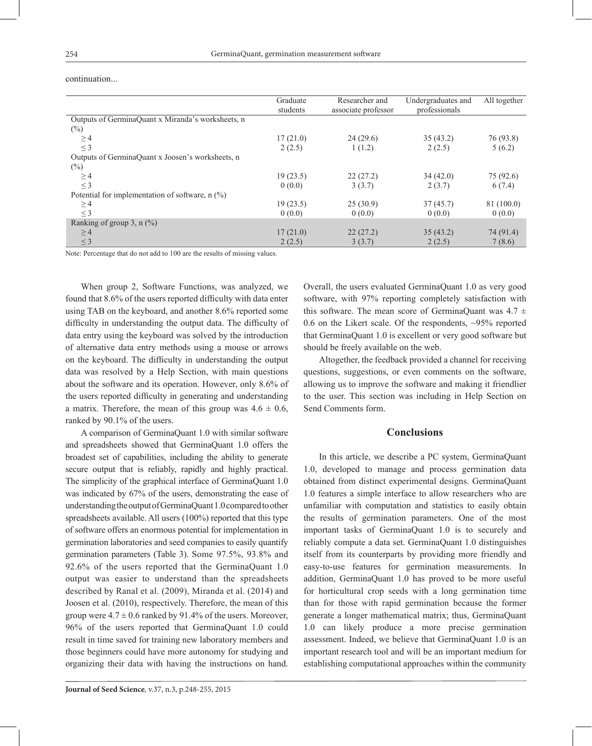|                                                   | Graduate | Researcher and      | Undergraduates and | All together |
|---------------------------------------------------|----------|---------------------|--------------------|--------------|
|                                                   | students | associate professor | professionals      |              |
| Outputs of GerminaQuant x Miranda's worksheets, n |          |                     |                    |              |
| $(\%)$                                            |          |                     |                    |              |
| $\geq$ 4                                          | 17(21.0) | 24(29.6)            | 35(43.2)           | 76 (93.8)    |
| $\leq$ 3                                          | 2(2.5)   | 1(1.2)              | 2(2.5)             | 5(6.2)       |
| Outputs of GerminaQuant x Joosen's worksheets, n  |          |                     |                    |              |
| $(\%)$                                            |          |                     |                    |              |
| $\geq$ 4                                          | 19(23.5) | 22(27.2)            | 34(42.0)           | 75 (92.6)    |
| $\leq$ 3                                          | 0(0.0)   | 3(3.7)              | 2(3.7)             | 6(7.4)       |
| Potential for implementation of software, $n$ (%) |          |                     |                    |              |
| $\geq$ 4                                          | 19(23.5) | 25(30.9)            | 37(45.7)           | 81 (100.0)   |
| $\leq$ 3                                          | 0(0.0)   | 0(0.0)              | 0(0.0)             | 0(0.0)       |
| Ranking of group 3, $n$ (%)                       |          |                     |                    |              |
| $\geq$ 4                                          | 17(21.0) | 22(27.2)            | 35(43.2)           | 74 (91.4)    |
| $\leq$ 3                                          | 2(2.5)   | 3(3.7)              | 2(2.5)             | 7(8.6)       |

continuation...

Note: Percentage that do not add to 100 are the results of missing values.

When group 2, Software Functions, was analyzed, we found that 8.6% of the users reported difficulty with data enter using TAB on the keyboard, and another 8.6% reported some difficulty in understanding the output data. The difficulty of data entry using the keyboard was solved by the introduction of alternative data entry methods using a mouse or arrows on the keyboard. The difficulty in understanding the output data was resolved by a Help Section, with main questions about the software and its operation. However, only 8.6% of the users reported difficulty in generating and understanding a matrix. Therefore, the mean of this group was  $4.6 \pm 0.6$ , ranked by 90.1% of the users.

A comparison of GerminaQuant 1.0 with similar software and spreadsheets showed that GerminaQuant 1.0 offers the broadest set of capabilities, including the ability to generate secure output that is reliably, rapidly and highly practical. The simplicity of the graphical interface of GerminaQuant 1.0 was indicated by 67% of the users, demonstrating the ease of understanding the output of GerminaQuant 1.0 compared to other spreadsheets available. All users (100%) reported that this type of software offers an enormous potential for implementation in germination laboratories and seed companies to easily quantify germination parameters (Table 3). Some 97.5%, 93.8% and 92.6% of the users reported that the GerminaQuant 1.0 output was easier to understand than the spreadsheets described by Ranal et al. (2009), Miranda et al. (2014) and Joosen et al. (2010), respectively. Therefore, the mean of this group were  $4.7 \pm 0.6$  ranked by 91.4% of the users. Moreover, 96% of the users reported that GerminaQuant 1.0 could result in time saved for training new laboratory members and those beginners could have more autonomy for studying and organizing their data with having the instructions on hand.

Overall, the users evaluated GerminaQuant 1.0 as very good software, with 97% reporting completely satisfaction with this software. The mean score of GerminaQuant was  $4.7 \pm$ 0.6 on the Likert scale. Of the respondents, ~95% reported that GerminaQuant 1.0 is excellent or very good software but should be freely available on the web.

Altogether, the feedback provided a channel for receiving questions, suggestions, or even comments on the software, allowing us to improve the software and making it friendlier to the user. This section was including in Help Section on Send Comments form.

#### **Conclusions**

In this article, we describe a PC system, GerminaQuant 1.0, developed to manage and process germination data obtained from distinct experimental designs. GerminaQuant 1.0 features a simple interface to allow researchers who are unfamiliar with computation and statistics to easily obtain the results of germination parameters. One of the most important tasks of GerminaQuant 1.0 is to securely and reliably compute a data set. GerminaQuant 1.0 distinguishes itself from its counterparts by providing more friendly and easy-to-use features for germination measurements. In addition, GerminaQuant 1.0 has proved to be more useful for horticultural crop seeds with a long germination time than for those with rapid germination because the former generate a longer mathematical matrix; thus, GerminaQuant 1.0 can likely produce a more precise germination assessment. Indeed, we believe that GerminaQuant 1.0 is an important research tool and will be an important medium for establishing computational approaches within the community